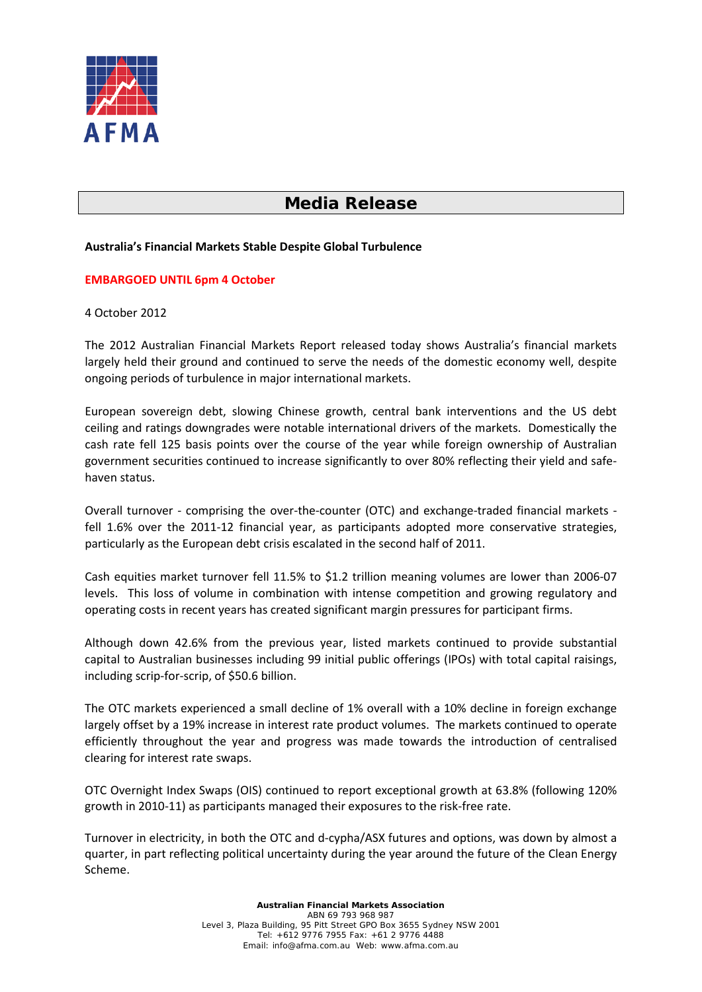

# **Media Release**

## **Australia's Financial Markets Stable Despite Global Turbulence**

## **EMBARGOED UNTIL 6pm 4 October**

#### 4 October 2012

The 2012 Australian Financial Markets Report released today shows Australia's financial markets largely held their ground and continued to serve the needs of the domestic economy well, despite ongoing periods of turbulence in major international markets.

European sovereign debt, slowing Chinese growth, central bank interventions and the US debt ceiling and ratings downgrades were notable international drivers of the markets. Domestically the cash rate fell 125 basis points over the course of the year while foreign ownership of Australian government securities continued to increase significantly to over 80% reflecting their yield and safehaven status.

Overall turnover - comprising the over-the-counter (OTC) and exchange-traded financial markets fell 1.6% over the 2011-12 financial year, as participants adopted more conservative strategies, particularly as the European debt crisis escalated in the second half of 2011.

Cash equities market turnover fell 11.5% to \$1.2 trillion meaning volumes are lower than 2006-07 levels. This loss of volume in combination with intense competition and growing regulatory and operating costs in recent years has created significant margin pressures for participant firms.

Although down 42.6% from the previous year, listed markets continued to provide substantial capital to Australian businesses including 99 initial public offerings (IPOs) with total capital raisings, including scrip-for-scrip, of \$50.6 billion.

The OTC markets experienced a small decline of 1% overall with a 10% decline in foreign exchange largely offset by a 19% increase in interest rate product volumes. The markets continued to operate efficiently throughout the year and progress was made towards the introduction of centralised clearing for interest rate swaps.

OTC Overnight Index Swaps (OIS) continued to report exceptional growth at 63.8% (following 120% growth in 2010-11) as participants managed their exposures to the risk-free rate.

Turnover in electricity, in both the OTC and d-cypha/ASX futures and options, was down by almost a quarter, in part reflecting political uncertainty during the year around the future of the Clean Energy Scheme.